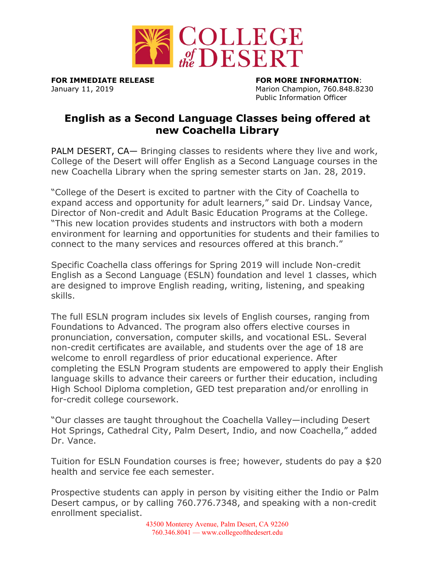

**FOR IMMEDIATE RELEASE FOR MORE INFORMATION**: January 11, 2019 **Marion Champion, 760.848.8230** Public Information Officer

## **English as a Second Language Classes being offered at new Coachella Library**

PALM DESERT, CA— Bringing classes to residents where they live and work, College of the Desert will offer English as a Second Language courses in the new Coachella Library when the spring semester starts on Jan. 28, 2019.

"College of the Desert is excited to partner with the City of Coachella to expand access and opportunity for adult learners," said Dr. Lindsay Vance, Director of Non-credit and Adult Basic Education Programs at the College. "This new location provides students and instructors with both a modern environment for learning and opportunities for students and their families to connect to the many services and resources offered at this branch."

Specific Coachella class offerings for Spring 2019 will include Non-credit English as a Second Language (ESLN) foundation and level 1 classes, which are designed to improve English reading, writing, listening, and speaking skills.

The full ESLN program includes six levels of English courses, ranging from Foundations to Advanced. The program also offers elective courses in pronunciation, conversation, computer skills, and vocational ESL. Several non-credit certificates are available, and students over the age of 18 are welcome to enroll regardless of prior educational experience. After completing the ESLN Program students are empowered to apply their English language skills to advance their careers or further their education, including High School Diploma completion, GED test preparation and/or enrolling in for-credit college coursework.

"Our classes are taught throughout the Coachella Valley—including Desert Hot Springs, Cathedral City, Palm Desert, Indio, and now Coachella," added Dr. Vance.

Tuition for ESLN Foundation courses is free; however, students do pay a \$20 health and service fee each semester.

Prospective students can apply in person by visiting either the Indio or Palm Desert campus, or by calling 760.776.7348, and speaking with a non-credit enrollment specialist.